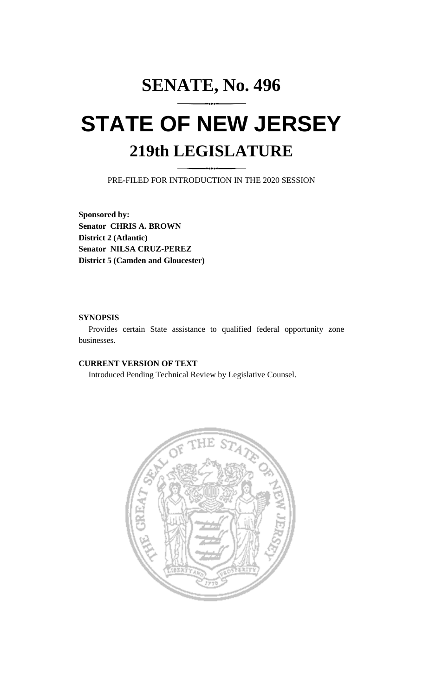# **SENATE, No. 496 STATE OF NEW JERSEY 219th LEGISLATURE**

PRE-FILED FOR INTRODUCTION IN THE 2020 SESSION

**Sponsored by: Senator CHRIS A. BROWN District 2 (Atlantic) Senator NILSA CRUZ-PEREZ District 5 (Camden and Gloucester)**

## **SYNOPSIS**

Provides certain State assistance to qualified federal opportunity zone businesses.

# **CURRENT VERSION OF TEXT**

Introduced Pending Technical Review by Legislative Counsel.

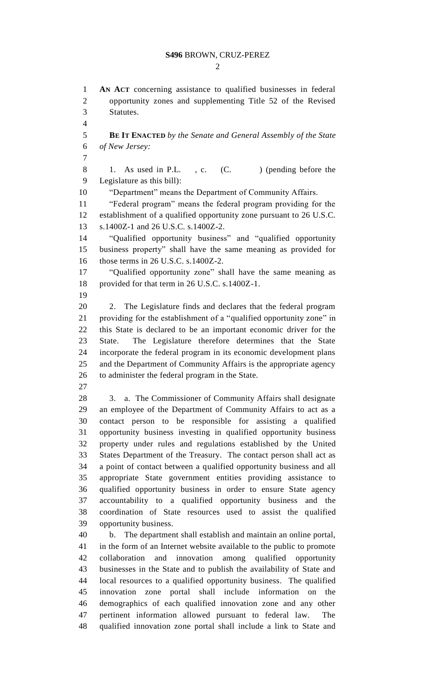#### **S496** BROWN, CRUZ-PEREZ

 $\mathcal{D}_{\mathcal{L}}$ 

 **AN ACT** concerning assistance to qualified businesses in federal opportunity zones and supplementing Title 52 of the Revised Statutes. **BE IT ENACTED** *by the Senate and General Assembly of the State of New Jersey:* 8 1. As used in P.L., c. (C. ) (pending before the Legislature as this bill): "Department" means the Department of Community Affairs. "Federal program" means the federal program providing for the establishment of a qualified opportunity zone pursuant to 26 U.S.C. s.1400Z-1 and 26 U.S.C. s.1400Z-2. "Qualified opportunity business" and "qualified opportunity business property" shall have the same meaning as provided for those terms in 26 U.S.C. s.1400Z-2. "Qualified opportunity zone" shall have the same meaning as provided for that term in 26 U.S.C. s.1400Z-1. 2. The Legislature finds and declares that the federal program providing for the establishment of a "qualified opportunity zone" in this State is declared to be an important economic driver for the State. The Legislature therefore determines that the State incorporate the federal program in its economic development plans and the Department of Community Affairs is the appropriate agency to administer the federal program in the State. 3. a. The Commissioner of Community Affairs shall designate an employee of the Department of Community Affairs to act as a contact person to be responsible for assisting a qualified opportunity business investing in qualified opportunity business property under rules and regulations established by the United States Department of the Treasury. The contact person shall act as a point of contact between a qualified opportunity business and all appropriate State government entities providing assistance to qualified opportunity business in order to ensure State agency accountability to a qualified opportunity business and the coordination of State resources used to assist the qualified opportunity business. b. The department shall establish and maintain an online portal, in the form of an Internet website available to the public to promote collaboration and innovation among qualified opportunity businesses in the State and to publish the availability of State and local resources to a qualified opportunity business. The qualified innovation zone portal shall include information on the demographics of each qualified innovation zone and any other pertinent information allowed pursuant to federal law. The qualified innovation zone portal shall include a link to State and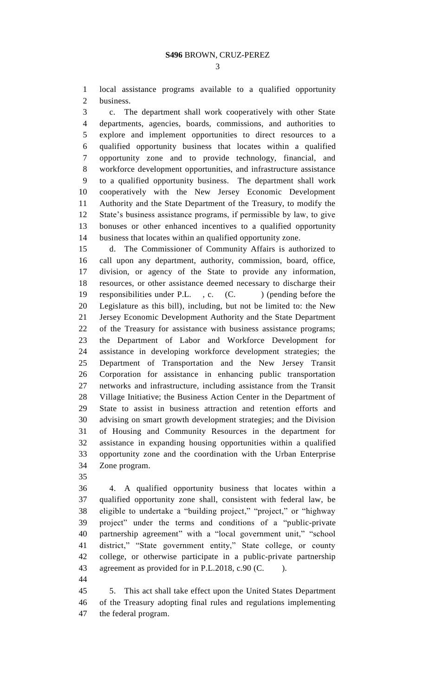local assistance programs available to a qualified opportunity business.

 c. The department shall work cooperatively with other State departments, agencies, boards, commissions, and authorities to explore and implement opportunities to direct resources to a qualified opportunity business that locates within a qualified opportunity zone and to provide technology, financial, and workforce development opportunities, and infrastructure assistance to a qualified opportunity business. The department shall work cooperatively with the New Jersey Economic Development Authority and the State Department of the Treasury, to modify the State's business assistance programs, if permissible by law, to give bonuses or other enhanced incentives to a qualified opportunity business that locates within an qualified opportunity zone.

 d. The Commissioner of Community Affairs is authorized to call upon any department, authority, commission, board, office, division, or agency of the State to provide any information, resources, or other assistance deemed necessary to discharge their 19 responsibilities under P.L., c. (C.) (pending before the Legislature as this bill), including, but not be limited to: the New Jersey Economic Development Authority and the State Department of the Treasury for assistance with business assistance programs; the Department of Labor and Workforce Development for assistance in developing workforce development strategies; the Department of Transportation and the New Jersey Transit Corporation for assistance in enhancing public transportation networks and infrastructure, including assistance from the Transit Village Initiative; the Business Action Center in the Department of State to assist in business attraction and retention efforts and advising on smart growth development strategies; and the Division of Housing and Community Resources in the department for assistance in expanding housing opportunities within a qualified opportunity zone and the coordination with the Urban Enterprise Zone program.

 4. A qualified opportunity business that locates within a qualified opportunity zone shall, consistent with federal law, be eligible to undertake a "building project," "project," or "highway project" under the terms and conditions of a "public-private partnership agreement" with a "local government unit," "school district," "State government entity," State college, or county college, or otherwise participate in a public-private partnership 43 agreement as provided for in P.L.2018, c.90 (C. ).

 5. This act shall take effect upon the United States Department of the Treasury adopting final rules and regulations implementing the federal program.